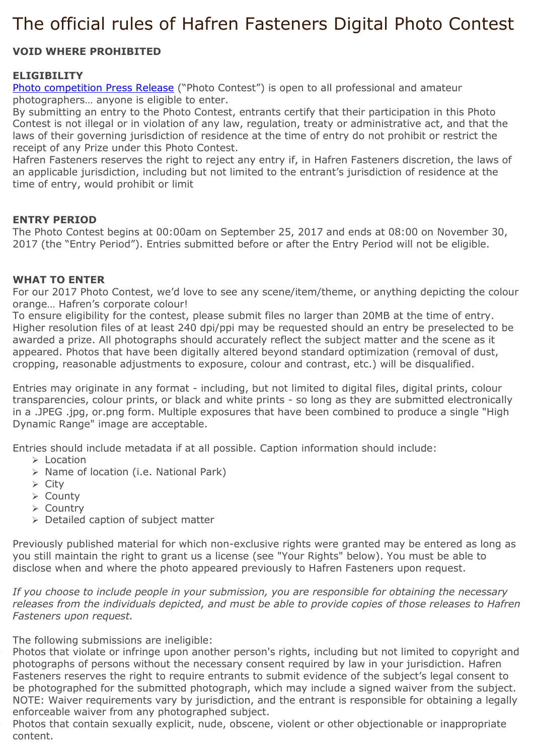# The official rules of Hafren Fasteners Digital Photo Contest

## **VOID WHERE PROHIBITED**

## **ELIGIBILITY**

[Photo competition](http://www.hafrenfasteners.com/news/hafren-fasteners-orange-theme-photo-competition) Press Release ("Photo Contest") is open to all professional and amateur photographers… anyone is eligible to enter.

By submitting an entry to the Photo Contest, entrants certify that their participation in this Photo Contest is not illegal or in violation of any law, regulation, treaty or administrative act, and that the laws of their governing jurisdiction of residence at the time of entry do not prohibit or restrict the receipt of any Prize under this Photo Contest.

Hafren Fasteners reserves the right to reject any entry if, in Hafren Fasteners discretion, the laws of an applicable jurisdiction, including but not limited to the entrant's jurisdiction of residence at the time of entry, would prohibit or limit

#### **ENTRY PERIOD**

The Photo Contest begins at 00:00am on September 25, 2017 and ends at 08:00 on November 30, 2017 (the "Entry Period"). Entries submitted before or after the Entry Period will not be eligible.

#### **WHAT TO ENTER**

For our 2017 Photo Contest, we'd love to see any scene/item/theme, or anything depicting the colour orange… Hafren's corporate colour!

To ensure eligibility for the contest, please submit files no larger than 20MB at the time of entry. Higher resolution files of at least 240 dpi/ppi may be requested should an entry be preselected to be awarded a prize. All photographs should accurately reflect the subject matter and the scene as it appeared. Photos that have been digitally altered beyond standard optimization (removal of dust, cropping, reasonable adjustments to exposure, colour and contrast, etc.) will be disqualified.

Entries may originate in any format - including, but not limited to digital files, digital prints, colour transparencies, colour prints, or black and white prints - so long as they are submitted electronically in a .JPEG .jpg, or.png form. Multiple exposures that have been combined to produce a single "High Dynamic Range" image are acceptable.

Entries should include metadata if at all possible. Caption information should include:

- ➢ Location
- ➢ Name of location (i.e. National Park)
- ➢ City
- ➢ County
- ➢ Country
- ➢ Detailed caption of subject matter

Previously published material for which non-exclusive rights were granted may be entered as long as you still maintain the right to grant us a license (see "Your Rights" below). You must be able to disclose when and where the photo appeared previously to Hafren Fasteners upon request.

*If you choose to include people in your submission, you are responsible for obtaining the necessary releases from the individuals depicted, and must be able to provide copies of those releases to Hafren Fasteners upon request.*

The following submissions are ineligible:

• Photos that violate or infringe upon another person's rights, including but not limited to copyright and photographs of persons without the necessary consent required by law in your jurisdiction. Hafren Fasteners reserves the right to require entrants to submit evidence of the subject's legal consent to be photographed for the submitted photograph, which may include a signed waiver from the subject. NOTE: Waiver requirements vary by jurisdiction, and the entrant is responsible for obtaining a legally enforceable waiver from any photographed subject.

• Photos that contain sexually explicit, nude, obscene, violent or other objectionable or inappropriate content.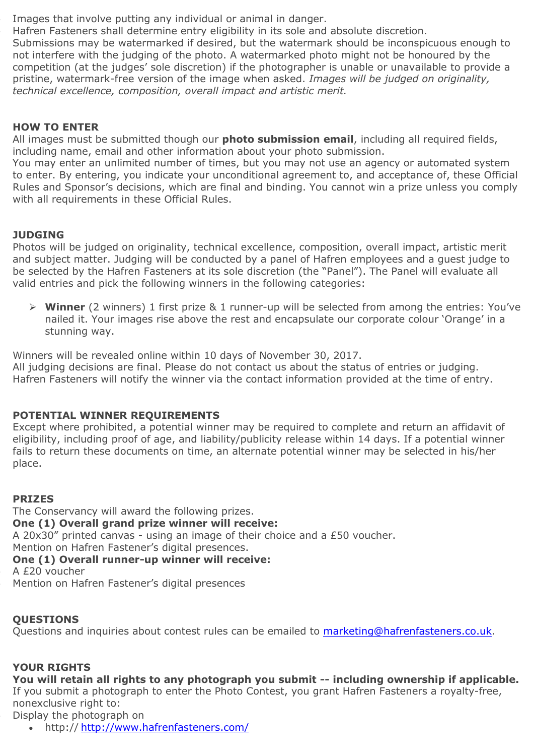Images that involve putting any individual or animal in danger.

• Hafren Fasteners shall determine entry eligibility in its sole and absolute discretion. Submissions may be watermarked if desired, but the watermark should be inconspicuous enough to not interfere with the judging of the photo. A watermarked photo might not be honoured by the competition (at the judges' sole discretion) if the photographer is unable or unavailable to provide a pristine, watermark-free version of the image when asked. *Images will be judged on originality, technical excellence, composition, overall impact and artistic merit.*

## **HOW TO ENTER**

All images must be submitted though our **photo submission email**, including all required fields, including name, email and other information about your photo submission.

You may enter an unlimited number of times, but you may not use an agency or automated system to enter. By entering, you indicate your unconditional agreement to, and acceptance of, these Official Rules and Sponsor's decisions, which are final and binding. You cannot win a prize unless you comply with all requirements in these Official Rules.

## **JUDGING**

Photos will be judged on originality, technical excellence, composition, overall impact, artistic merit and subject matter. Judging will be conducted by a panel of Hafren employees and a guest judge to be selected by the Hafren Fasteners at its sole discretion (the "Panel"). The Panel will evaluate all valid entries and pick the following winners in the following categories:

➢ **Winner** (2 winners) 1 first prize & 1 runner-up will be selected from among the entries: You've nailed it. Your images rise above the rest and encapsulate our corporate colour 'Orange' in a stunning way.

Winners will be revealed online within 10 days of November 30, 2017.

All judging decisions are final. Please do not contact us about the status of entries or judging. Hafren Fasteners will notify the winner via the contact information provided at the time of entry.

## **POTENTIAL WINNER REQUIREMENTS**

Except where prohibited, a potential winner may be required to complete and return an affidavit of eligibility, including proof of age, and liability/publicity release within 14 days. If a potential winner fails to return these documents on time, an alternate potential winner may be selected in his/her place.

#### **PRIZES**

The Conservancy will award the following prizes. **One (1) Overall grand prize winner will receive:** A 20x30" printed canvas - using an image of their choice and a £50 voucher. Mention on Hafren Fastener's digital presences. **One (1) Overall runner-up winner will receive:** A £20 voucher Mention on Hafren Fastener's digital presences

## **QUESTIONS**

Questions and inquiries about contest rules can be emailed to [marketing@hafrenfasteners.co.uk.](mailto:marketing@hafrenfasteners.co.uk)

## **YOUR RIGHTS**

**You will retain all rights to any photograph you submit -- including ownership if applicable.** If you submit a photograph to enter the Photo Contest, you grant Hafren Fasteners a royalty-free, nonexclusive right to:

• Display the photograph on

• http:// <http://www.hafrenfasteners.com/>